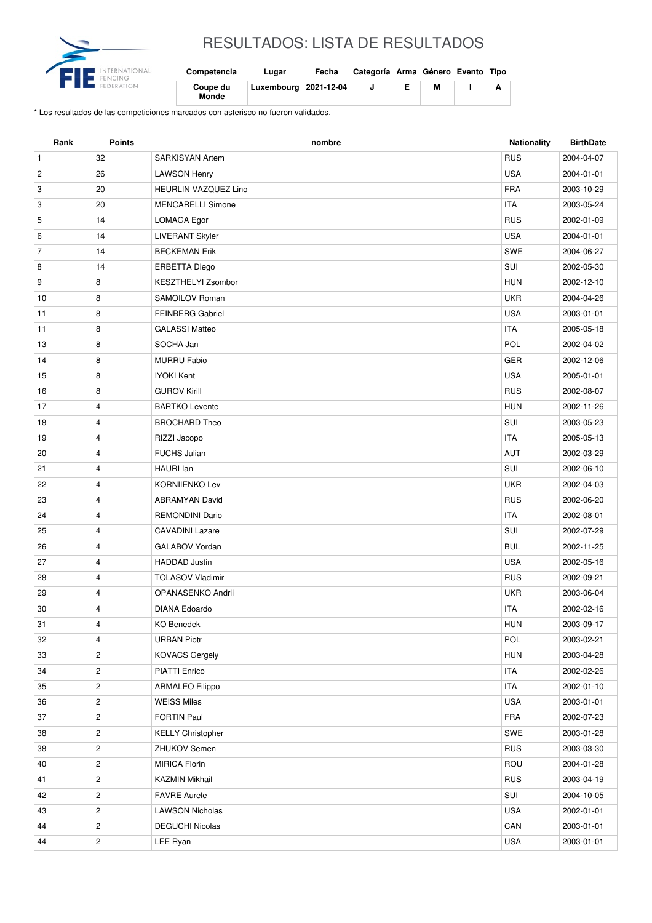

## RESULTADOS: LISTA DE RESULTADOS

| Competencia       | Lugar                   | Fecha | Categoría Arma Género Evento Tipo |   |  |
|-------------------|-------------------------|-------|-----------------------------------|---|--|
| Coupe du<br>Monde | Luxembourg   2021-12-04 |       |                                   | м |  |

\* Los resultados de las competiciones marcados con asterisco no fueron validados.

| <b>RUS</b><br>$\mathbf{1}$<br>32<br>2004-04-07<br><b>SARKISYAN Artem</b><br><b>USA</b><br>$\overline{c}$<br>26<br><b>LAWSON Henry</b><br>2004-01-01<br>20<br><b>HEURLIN VAZQUEZ Lino</b><br><b>FRA</b><br>3<br>2003-10-29<br>20<br><b>MENCARELLI Simone</b><br><b>ITA</b><br>3<br>2003-05-24<br>14<br><b>RUS</b><br>5<br>LOMAGA Egor<br>2002-01-09<br>14<br><b>LIVERANT Skyler</b><br><b>USA</b><br>2004-01-01<br>6<br>SWE<br>$\overline{7}$<br>14<br><b>BECKEMAN Erik</b><br>2004-06-27<br>SUI<br>14<br><b>ERBETTA Diego</b><br>8<br>2002-05-30<br>9<br>8<br><b>KESZTHELYI Zsombor</b><br><b>HUN</b><br>2002-12-10<br><b>UKR</b><br>10<br>8<br>SAMOILOV Roman<br>2004-04-26<br><b>USA</b><br>8<br>11<br><b>FEINBERG Gabriel</b><br>2003-01-01<br>8<br><b>ITA</b><br>11<br><b>GALASSI Matteo</b><br>2005-05-18<br>POL<br>8<br>SOCHA Jan<br>13<br>2002-04-02<br>8<br><b>GER</b><br>14<br><b>MURRU Fabio</b><br>2002-12-06<br><b>USA</b><br>8<br><b>IYOKI Kent</b><br>15<br>2005-01-01<br><b>GUROV Kirill</b><br><b>RUS</b><br>8<br>2002-08-07<br>16<br>17<br>$\overline{4}$<br><b>BARTKO Levente</b><br><b>HUN</b><br>2002-11-26<br>4<br>SUI<br>18<br><b>BROCHARD Theo</b><br>2003-05-23<br><b>ITA</b><br>19<br>4<br>RIZZI Jacopo<br>2005-05-13<br>20<br>4<br><b>FUCHS Julian</b><br><b>AUT</b><br>2002-03-29<br>SUI<br>21<br>4<br>HAURI Ian<br>2002-06-10<br><b>UKR</b><br>22<br>4<br><b>KORNIIENKO Lev</b><br>2002-04-03<br>4<br><b>RUS</b><br>23<br><b>ABRAMYAN David</b><br>2002-06-20<br><b>ITA</b><br>24<br><b>REMONDINI Dario</b><br>4<br>2002-08-01<br>4<br>SUI<br>25<br><b>CAVADINI Lazare</b><br>2002-07-29<br>$\overline{4}$<br>GALABOV Yordan<br><b>BUL</b><br>26<br>2002-11-25<br><b>USA</b><br>27<br>4<br><b>HADDAD</b> Justin<br>2002-05-16<br><b>RUS</b><br>28<br>$\overline{4}$<br><b>TOLASOV Vladimir</b><br>2002-09-21<br>4<br><b>UKR</b><br>29<br>OPANASENKO Andrii<br>2003-06-04<br><b>ITA</b><br>30<br>4<br><b>DIANA Edoardo</b><br>2002-02-16<br><b>HUN</b><br>31<br>4<br><b>KO Benedek</b><br>2003-09-17<br>POL<br>4<br><b>URBAN Piotr</b><br>2003-02-21<br>32<br>$\overline{c}$<br><b>KOVACS Gergely</b><br><b>HUN</b><br>2003-04-28<br>33<br>$\overline{c}$<br><b>ITA</b><br>34<br>PIATTI Enrico<br>2002-02-26 |
|-----------------------------------------------------------------------------------------------------------------------------------------------------------------------------------------------------------------------------------------------------------------------------------------------------------------------------------------------------------------------------------------------------------------------------------------------------------------------------------------------------------------------------------------------------------------------------------------------------------------------------------------------------------------------------------------------------------------------------------------------------------------------------------------------------------------------------------------------------------------------------------------------------------------------------------------------------------------------------------------------------------------------------------------------------------------------------------------------------------------------------------------------------------------------------------------------------------------------------------------------------------------------------------------------------------------------------------------------------------------------------------------------------------------------------------------------------------------------------------------------------------------------------------------------------------------------------------------------------------------------------------------------------------------------------------------------------------------------------------------------------------------------------------------------------------------------------------------------------------------------------------------------------------------------------------------------------------------------------------------------------------------------------------------------------------------------------------------------------------------------------------------------------------------------------------------------------------------------------------------|
|                                                                                                                                                                                                                                                                                                                                                                                                                                                                                                                                                                                                                                                                                                                                                                                                                                                                                                                                                                                                                                                                                                                                                                                                                                                                                                                                                                                                                                                                                                                                                                                                                                                                                                                                                                                                                                                                                                                                                                                                                                                                                                                                                                                                                                         |
|                                                                                                                                                                                                                                                                                                                                                                                                                                                                                                                                                                                                                                                                                                                                                                                                                                                                                                                                                                                                                                                                                                                                                                                                                                                                                                                                                                                                                                                                                                                                                                                                                                                                                                                                                                                                                                                                                                                                                                                                                                                                                                                                                                                                                                         |
|                                                                                                                                                                                                                                                                                                                                                                                                                                                                                                                                                                                                                                                                                                                                                                                                                                                                                                                                                                                                                                                                                                                                                                                                                                                                                                                                                                                                                                                                                                                                                                                                                                                                                                                                                                                                                                                                                                                                                                                                                                                                                                                                                                                                                                         |
|                                                                                                                                                                                                                                                                                                                                                                                                                                                                                                                                                                                                                                                                                                                                                                                                                                                                                                                                                                                                                                                                                                                                                                                                                                                                                                                                                                                                                                                                                                                                                                                                                                                                                                                                                                                                                                                                                                                                                                                                                                                                                                                                                                                                                                         |
|                                                                                                                                                                                                                                                                                                                                                                                                                                                                                                                                                                                                                                                                                                                                                                                                                                                                                                                                                                                                                                                                                                                                                                                                                                                                                                                                                                                                                                                                                                                                                                                                                                                                                                                                                                                                                                                                                                                                                                                                                                                                                                                                                                                                                                         |
|                                                                                                                                                                                                                                                                                                                                                                                                                                                                                                                                                                                                                                                                                                                                                                                                                                                                                                                                                                                                                                                                                                                                                                                                                                                                                                                                                                                                                                                                                                                                                                                                                                                                                                                                                                                                                                                                                                                                                                                                                                                                                                                                                                                                                                         |
|                                                                                                                                                                                                                                                                                                                                                                                                                                                                                                                                                                                                                                                                                                                                                                                                                                                                                                                                                                                                                                                                                                                                                                                                                                                                                                                                                                                                                                                                                                                                                                                                                                                                                                                                                                                                                                                                                                                                                                                                                                                                                                                                                                                                                                         |
|                                                                                                                                                                                                                                                                                                                                                                                                                                                                                                                                                                                                                                                                                                                                                                                                                                                                                                                                                                                                                                                                                                                                                                                                                                                                                                                                                                                                                                                                                                                                                                                                                                                                                                                                                                                                                                                                                                                                                                                                                                                                                                                                                                                                                                         |
|                                                                                                                                                                                                                                                                                                                                                                                                                                                                                                                                                                                                                                                                                                                                                                                                                                                                                                                                                                                                                                                                                                                                                                                                                                                                                                                                                                                                                                                                                                                                                                                                                                                                                                                                                                                                                                                                                                                                                                                                                                                                                                                                                                                                                                         |
|                                                                                                                                                                                                                                                                                                                                                                                                                                                                                                                                                                                                                                                                                                                                                                                                                                                                                                                                                                                                                                                                                                                                                                                                                                                                                                                                                                                                                                                                                                                                                                                                                                                                                                                                                                                                                                                                                                                                                                                                                                                                                                                                                                                                                                         |
|                                                                                                                                                                                                                                                                                                                                                                                                                                                                                                                                                                                                                                                                                                                                                                                                                                                                                                                                                                                                                                                                                                                                                                                                                                                                                                                                                                                                                                                                                                                                                                                                                                                                                                                                                                                                                                                                                                                                                                                                                                                                                                                                                                                                                                         |
|                                                                                                                                                                                                                                                                                                                                                                                                                                                                                                                                                                                                                                                                                                                                                                                                                                                                                                                                                                                                                                                                                                                                                                                                                                                                                                                                                                                                                                                                                                                                                                                                                                                                                                                                                                                                                                                                                                                                                                                                                                                                                                                                                                                                                                         |
|                                                                                                                                                                                                                                                                                                                                                                                                                                                                                                                                                                                                                                                                                                                                                                                                                                                                                                                                                                                                                                                                                                                                                                                                                                                                                                                                                                                                                                                                                                                                                                                                                                                                                                                                                                                                                                                                                                                                                                                                                                                                                                                                                                                                                                         |
|                                                                                                                                                                                                                                                                                                                                                                                                                                                                                                                                                                                                                                                                                                                                                                                                                                                                                                                                                                                                                                                                                                                                                                                                                                                                                                                                                                                                                                                                                                                                                                                                                                                                                                                                                                                                                                                                                                                                                                                                                                                                                                                                                                                                                                         |
|                                                                                                                                                                                                                                                                                                                                                                                                                                                                                                                                                                                                                                                                                                                                                                                                                                                                                                                                                                                                                                                                                                                                                                                                                                                                                                                                                                                                                                                                                                                                                                                                                                                                                                                                                                                                                                                                                                                                                                                                                                                                                                                                                                                                                                         |
|                                                                                                                                                                                                                                                                                                                                                                                                                                                                                                                                                                                                                                                                                                                                                                                                                                                                                                                                                                                                                                                                                                                                                                                                                                                                                                                                                                                                                                                                                                                                                                                                                                                                                                                                                                                                                                                                                                                                                                                                                                                                                                                                                                                                                                         |
|                                                                                                                                                                                                                                                                                                                                                                                                                                                                                                                                                                                                                                                                                                                                                                                                                                                                                                                                                                                                                                                                                                                                                                                                                                                                                                                                                                                                                                                                                                                                                                                                                                                                                                                                                                                                                                                                                                                                                                                                                                                                                                                                                                                                                                         |
|                                                                                                                                                                                                                                                                                                                                                                                                                                                                                                                                                                                                                                                                                                                                                                                                                                                                                                                                                                                                                                                                                                                                                                                                                                                                                                                                                                                                                                                                                                                                                                                                                                                                                                                                                                                                                                                                                                                                                                                                                                                                                                                                                                                                                                         |
|                                                                                                                                                                                                                                                                                                                                                                                                                                                                                                                                                                                                                                                                                                                                                                                                                                                                                                                                                                                                                                                                                                                                                                                                                                                                                                                                                                                                                                                                                                                                                                                                                                                                                                                                                                                                                                                                                                                                                                                                                                                                                                                                                                                                                                         |
|                                                                                                                                                                                                                                                                                                                                                                                                                                                                                                                                                                                                                                                                                                                                                                                                                                                                                                                                                                                                                                                                                                                                                                                                                                                                                                                                                                                                                                                                                                                                                                                                                                                                                                                                                                                                                                                                                                                                                                                                                                                                                                                                                                                                                                         |
|                                                                                                                                                                                                                                                                                                                                                                                                                                                                                                                                                                                                                                                                                                                                                                                                                                                                                                                                                                                                                                                                                                                                                                                                                                                                                                                                                                                                                                                                                                                                                                                                                                                                                                                                                                                                                                                                                                                                                                                                                                                                                                                                                                                                                                         |
|                                                                                                                                                                                                                                                                                                                                                                                                                                                                                                                                                                                                                                                                                                                                                                                                                                                                                                                                                                                                                                                                                                                                                                                                                                                                                                                                                                                                                                                                                                                                                                                                                                                                                                                                                                                                                                                                                                                                                                                                                                                                                                                                                                                                                                         |
|                                                                                                                                                                                                                                                                                                                                                                                                                                                                                                                                                                                                                                                                                                                                                                                                                                                                                                                                                                                                                                                                                                                                                                                                                                                                                                                                                                                                                                                                                                                                                                                                                                                                                                                                                                                                                                                                                                                                                                                                                                                                                                                                                                                                                                         |
|                                                                                                                                                                                                                                                                                                                                                                                                                                                                                                                                                                                                                                                                                                                                                                                                                                                                                                                                                                                                                                                                                                                                                                                                                                                                                                                                                                                                                                                                                                                                                                                                                                                                                                                                                                                                                                                                                                                                                                                                                                                                                                                                                                                                                                         |
|                                                                                                                                                                                                                                                                                                                                                                                                                                                                                                                                                                                                                                                                                                                                                                                                                                                                                                                                                                                                                                                                                                                                                                                                                                                                                                                                                                                                                                                                                                                                                                                                                                                                                                                                                                                                                                                                                                                                                                                                                                                                                                                                                                                                                                         |
|                                                                                                                                                                                                                                                                                                                                                                                                                                                                                                                                                                                                                                                                                                                                                                                                                                                                                                                                                                                                                                                                                                                                                                                                                                                                                                                                                                                                                                                                                                                                                                                                                                                                                                                                                                                                                                                                                                                                                                                                                                                                                                                                                                                                                                         |
|                                                                                                                                                                                                                                                                                                                                                                                                                                                                                                                                                                                                                                                                                                                                                                                                                                                                                                                                                                                                                                                                                                                                                                                                                                                                                                                                                                                                                                                                                                                                                                                                                                                                                                                                                                                                                                                                                                                                                                                                                                                                                                                                                                                                                                         |
|                                                                                                                                                                                                                                                                                                                                                                                                                                                                                                                                                                                                                                                                                                                                                                                                                                                                                                                                                                                                                                                                                                                                                                                                                                                                                                                                                                                                                                                                                                                                                                                                                                                                                                                                                                                                                                                                                                                                                                                                                                                                                                                                                                                                                                         |
|                                                                                                                                                                                                                                                                                                                                                                                                                                                                                                                                                                                                                                                                                                                                                                                                                                                                                                                                                                                                                                                                                                                                                                                                                                                                                                                                                                                                                                                                                                                                                                                                                                                                                                                                                                                                                                                                                                                                                                                                                                                                                                                                                                                                                                         |
|                                                                                                                                                                                                                                                                                                                                                                                                                                                                                                                                                                                                                                                                                                                                                                                                                                                                                                                                                                                                                                                                                                                                                                                                                                                                                                                                                                                                                                                                                                                                                                                                                                                                                                                                                                                                                                                                                                                                                                                                                                                                                                                                                                                                                                         |
|                                                                                                                                                                                                                                                                                                                                                                                                                                                                                                                                                                                                                                                                                                                                                                                                                                                                                                                                                                                                                                                                                                                                                                                                                                                                                                                                                                                                                                                                                                                                                                                                                                                                                                                                                                                                                                                                                                                                                                                                                                                                                                                                                                                                                                         |
|                                                                                                                                                                                                                                                                                                                                                                                                                                                                                                                                                                                                                                                                                                                                                                                                                                                                                                                                                                                                                                                                                                                                                                                                                                                                                                                                                                                                                                                                                                                                                                                                                                                                                                                                                                                                                                                                                                                                                                                                                                                                                                                                                                                                                                         |
|                                                                                                                                                                                                                                                                                                                                                                                                                                                                                                                                                                                                                                                                                                                                                                                                                                                                                                                                                                                                                                                                                                                                                                                                                                                                                                                                                                                                                                                                                                                                                                                                                                                                                                                                                                                                                                                                                                                                                                                                                                                                                                                                                                                                                                         |
|                                                                                                                                                                                                                                                                                                                                                                                                                                                                                                                                                                                                                                                                                                                                                                                                                                                                                                                                                                                                                                                                                                                                                                                                                                                                                                                                                                                                                                                                                                                                                                                                                                                                                                                                                                                                                                                                                                                                                                                                                                                                                                                                                                                                                                         |
| $\overline{c}$<br><b>ARMALEO Filippo</b><br><b>ITA</b><br>2002-01-10<br>35                                                                                                                                                                                                                                                                                                                                                                                                                                                                                                                                                                                                                                                                                                                                                                                                                                                                                                                                                                                                                                                                                                                                                                                                                                                                                                                                                                                                                                                                                                                                                                                                                                                                                                                                                                                                                                                                                                                                                                                                                                                                                                                                                              |
| <b>USA</b><br>$\overline{c}$<br><b>WEISS Miles</b><br>36<br>2003-01-01                                                                                                                                                                                                                                                                                                                                                                                                                                                                                                                                                                                                                                                                                                                                                                                                                                                                                                                                                                                                                                                                                                                                                                                                                                                                                                                                                                                                                                                                                                                                                                                                                                                                                                                                                                                                                                                                                                                                                                                                                                                                                                                                                                  |
| $\overline{c}$<br><b>FORTIN Paul</b><br>FRA<br>37<br>2002-07-23                                                                                                                                                                                                                                                                                                                                                                                                                                                                                                                                                                                                                                                                                                                                                                                                                                                                                                                                                                                                                                                                                                                                                                                                                                                                                                                                                                                                                                                                                                                                                                                                                                                                                                                                                                                                                                                                                                                                                                                                                                                                                                                                                                         |
| SWE<br>$\overline{c}$<br><b>KELLY Christopher</b><br>2003-01-28<br>38                                                                                                                                                                                                                                                                                                                                                                                                                                                                                                                                                                                                                                                                                                                                                                                                                                                                                                                                                                                                                                                                                                                                                                                                                                                                                                                                                                                                                                                                                                                                                                                                                                                                                                                                                                                                                                                                                                                                                                                                                                                                                                                                                                   |
| $\sqrt{2}$<br>38<br>ZHUKOV Semen<br><b>RUS</b><br>2003-03-30                                                                                                                                                                                                                                                                                                                                                                                                                                                                                                                                                                                                                                                                                                                                                                                                                                                                                                                                                                                                                                                                                                                                                                                                                                                                                                                                                                                                                                                                                                                                                                                                                                                                                                                                                                                                                                                                                                                                                                                                                                                                                                                                                                            |
| ROU<br>$\overline{c}$<br><b>MIRICA Florin</b><br>40<br>2004-01-28                                                                                                                                                                                                                                                                                                                                                                                                                                                                                                                                                                                                                                                                                                                                                                                                                                                                                                                                                                                                                                                                                                                                                                                                                                                                                                                                                                                                                                                                                                                                                                                                                                                                                                                                                                                                                                                                                                                                                                                                                                                                                                                                                                       |
| <b>RUS</b><br>41<br>$\overline{c}$<br>KAZMIN Mikhail<br>2003-04-19                                                                                                                                                                                                                                                                                                                                                                                                                                                                                                                                                                                                                                                                                                                                                                                                                                                                                                                                                                                                                                                                                                                                                                                                                                                                                                                                                                                                                                                                                                                                                                                                                                                                                                                                                                                                                                                                                                                                                                                                                                                                                                                                                                      |
| $\mathbf{2}$<br>SUI<br>42<br><b>FAVRE Aurele</b><br>2004-10-05                                                                                                                                                                                                                                                                                                                                                                                                                                                                                                                                                                                                                                                                                                                                                                                                                                                                                                                                                                                                                                                                                                                                                                                                                                                                                                                                                                                                                                                                                                                                                                                                                                                                                                                                                                                                                                                                                                                                                                                                                                                                                                                                                                          |
| $\overline{c}$<br><b>USA</b><br>43<br><b>LAWSON Nicholas</b><br>2002-01-01                                                                                                                                                                                                                                                                                                                                                                                                                                                                                                                                                                                                                                                                                                                                                                                                                                                                                                                                                                                                                                                                                                                                                                                                                                                                                                                                                                                                                                                                                                                                                                                                                                                                                                                                                                                                                                                                                                                                                                                                                                                                                                                                                              |
| $\mathbf{2}$<br><b>DEGUCHI Nicolas</b><br>CAN<br>2003-01-01<br>44                                                                                                                                                                                                                                                                                                                                                                                                                                                                                                                                                                                                                                                                                                                                                                                                                                                                                                                                                                                                                                                                                                                                                                                                                                                                                                                                                                                                                                                                                                                                                                                                                                                                                                                                                                                                                                                                                                                                                                                                                                                                                                                                                                       |
| $\overline{c}$<br>44<br><b>USA</b><br>2003-01-01<br>LEE Ryan                                                                                                                                                                                                                                                                                                                                                                                                                                                                                                                                                                                                                                                                                                                                                                                                                                                                                                                                                                                                                                                                                                                                                                                                                                                                                                                                                                                                                                                                                                                                                                                                                                                                                                                                                                                                                                                                                                                                                                                                                                                                                                                                                                            |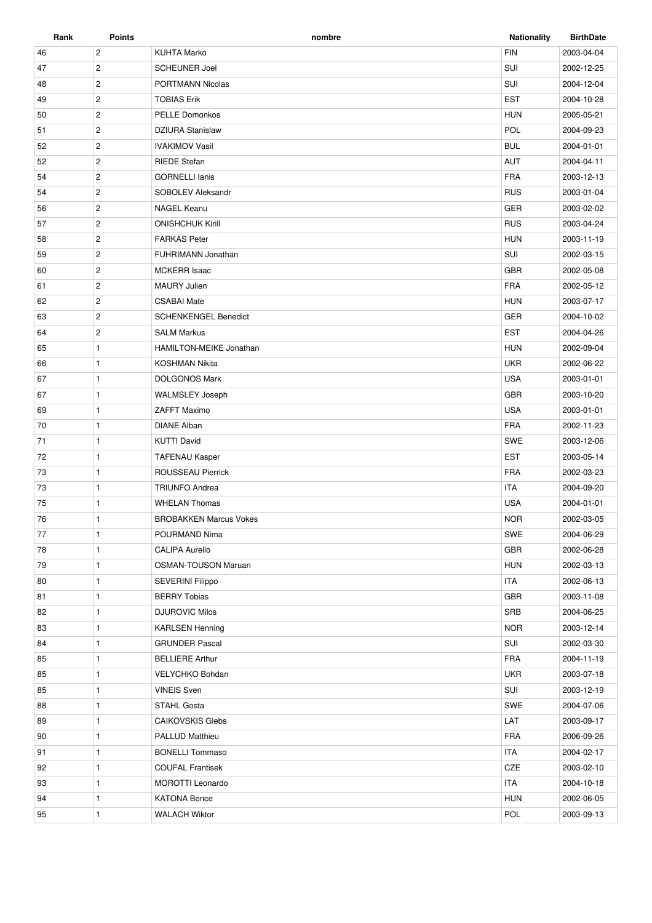| Rank | <b>Points</b>         | nombre                        | <b>Nationality</b> | <b>BirthDate</b> |
|------|-----------------------|-------------------------------|--------------------|------------------|
| 46   | $\overline{c}$        | <b>KUHTA Marko</b>            | <b>FIN</b>         | 2003-04-04       |
| 47   | $\overline{2}$        | <b>SCHEUNER Joel</b>          | SUI                | 2002-12-25       |
| 48   | $\overline{2}$        | PORTMANN Nicolas              | SUI                | 2004-12-04       |
| 49   | $\mathbf{2}$          | <b>TOBIAS Erik</b>            | <b>EST</b>         | 2004-10-28       |
| 50   | $\overline{2}$        | <b>PELLE Domonkos</b>         | <b>HUN</b>         | 2005-05-21       |
| 51   | $\overline{2}$        | <b>DZIURA Stanislaw</b>       | POL                | 2004-09-23       |
| 52   | $\overline{2}$        | <b>IVAKIMOV Vasil</b>         | <b>BUL</b>         | 2004-01-01       |
| 52   | $\overline{2}$        | <b>RIEDE Stefan</b>           | AUT                | 2004-04-11       |
| 54   | $\overline{2}$        | <b>GORNELLI Ianis</b>         | <b>FRA</b>         | 2003-12-13       |
| 54   | $\overline{2}$        | SOBOLEV Aleksandr             | <b>RUS</b>         | 2003-01-04       |
| 56   | $\mathbf{2}$          | <b>NAGEL Keanu</b>            | <b>GER</b>         | 2003-02-02       |
| 57   | $\overline{2}$        | <b>ONISHCHUK Kirill</b>       | <b>RUS</b>         | 2003-04-24       |
| 58   | $\overline{2}$        | <b>FARKAS Peter</b>           | <b>HUN</b>         | 2003-11-19       |
| 59   | $\overline{2}$        | FUHRIMANN Jonathan            | SUI                | 2002-03-15       |
| 60   | $\overline{2}$        | <b>MCKERR Isaac</b>           | <b>GBR</b>         | 2002-05-08       |
| 61   | $\overline{2}$        | <b>MAURY Julien</b>           | <b>FRA</b>         | 2002-05-12       |
| 62   | $\overline{2}$        | <b>CSABAI Mate</b>            | <b>HUN</b>         | 2003-07-17       |
| 63   | $\overline{c}$        | <b>SCHENKENGEL Benedict</b>   | GER                | 2004-10-02       |
| 64   | $\mathbf{2}^{\prime}$ | <b>SALM Markus</b>            | <b>EST</b>         | 2004-04-26       |
| 65   | 1                     | HAMILTON-MEIKE Jonathan       | <b>HUN</b>         | 2002-09-04       |
| 66   | $\mathbf{1}$          | <b>KOSHMAN Nikita</b>         | <b>UKR</b>         | 2002-06-22       |
| 67   | $\mathbf{1}$          | <b>DOLGONOS Mark</b>          | <b>USA</b>         | 2003-01-01       |
| 67   | $\mathbf{1}$          | <b>WALMSLEY Joseph</b>        | <b>GBR</b>         | 2003-10-20       |
| 69   | $\mathbf{1}$          | ZAFFT Maximo                  | <b>USA</b>         | 2003-01-01       |
| 70   | $\mathbf{1}$          | <b>DIANE Alban</b>            | <b>FRA</b>         | 2002-11-23       |
| 71   | $\mathbf{1}$          | <b>KUTTI David</b>            | SWE                | 2003-12-06       |
| 72   | $\mathbf{1}$          | <b>TAFENAU Kasper</b>         | <b>EST</b>         | 2003-05-14       |
| 73   | $\mathbf{1}$          | ROUSSEAU Pierrick             | <b>FRA</b>         | 2002-03-23       |
| 73   | $\mathbf{1}$          | <b>TRIUNFO Andrea</b>         | <b>ITA</b>         | 2004-09-20       |
| 75   | $\mathbf{1}$          | <b>WHELAN Thomas</b>          | <b>USA</b>         | 2004-01-01       |
| 76   | $\mathbf{1}$          | <b>BROBAKKEN Marcus Vokes</b> | <b>NOR</b>         | 2002-03-05       |
| 77   | $\mathbf{1}$          | POURMAND Nima                 | SWE                | 2004-06-29       |
| 78   | $\mathbf{1}$          | <b>CALIPA Aurelio</b>         | GBR                | 2002-06-28       |
| 79   | $\mathbf{1}$          | <b>OSMAN-TOUSON Maruan</b>    | <b>HUN</b>         | 2002-03-13       |
| 80   | $\mathbf{1}$          | <b>SEVERINI Filippo</b>       | <b>ITA</b>         | 2002-06-13       |
| 81   | $\mathbf{1}$          | <b>BERRY Tobias</b>           | GBR                | 2003-11-08       |
| 82   | $\mathbf{1}$          | <b>DJUROVIC Milos</b>         | SRB                | 2004-06-25       |
| 83   | $\mathbf{1}$          | <b>KARLSEN Henning</b>        | <b>NOR</b>         | 2003-12-14       |
| 84   | $\mathbf{1}$          | <b>GRUNDER Pascal</b>         | SUI                | 2002-03-30       |
| 85   | $\mathbf{1}$          | <b>BELLIERE Arthur</b>        | <b>FRA</b>         | 2004-11-19       |
| 85   | $\mathbf{1}$          | VELYCHKO Bohdan               | <b>UKR</b>         | 2003-07-18       |
| 85   | $\mathbf{1}$          | <b>VINEIS Sven</b>            | SUI                | 2003-12-19       |
| 88   | $\mathbf{1}$          | <b>STAHL Gosta</b>            | SWE                | 2004-07-06       |
| 89   | $\mathbf{1}$          | <b>CAIKOVSKIS Glebs</b>       | LAT                | 2003-09-17       |
| 90   | $\mathbf{1}$          | PALLUD Matthieu               | <b>FRA</b>         | 2006-09-26       |
| 91   | $\mathbf{1}$          | <b>BONELLI Tommaso</b>        | <b>ITA</b>         | 2004-02-17       |
| 92   | $\mathbf{1}$          | <b>COUFAL Frantisek</b>       | CZE                | 2003-02-10       |
| 93   | $\mathbf{1}$          | <b>MOROTTI Leonardo</b>       | <b>ITA</b>         | 2004-10-18       |
| 94   | $\mathbf{1}$          | <b>KATONA Bence</b>           | <b>HUN</b>         | 2002-06-05       |
| 95   | 1                     | <b>WALACH Wiktor</b>          | POL                | 2003-09-13       |
|      |                       |                               |                    |                  |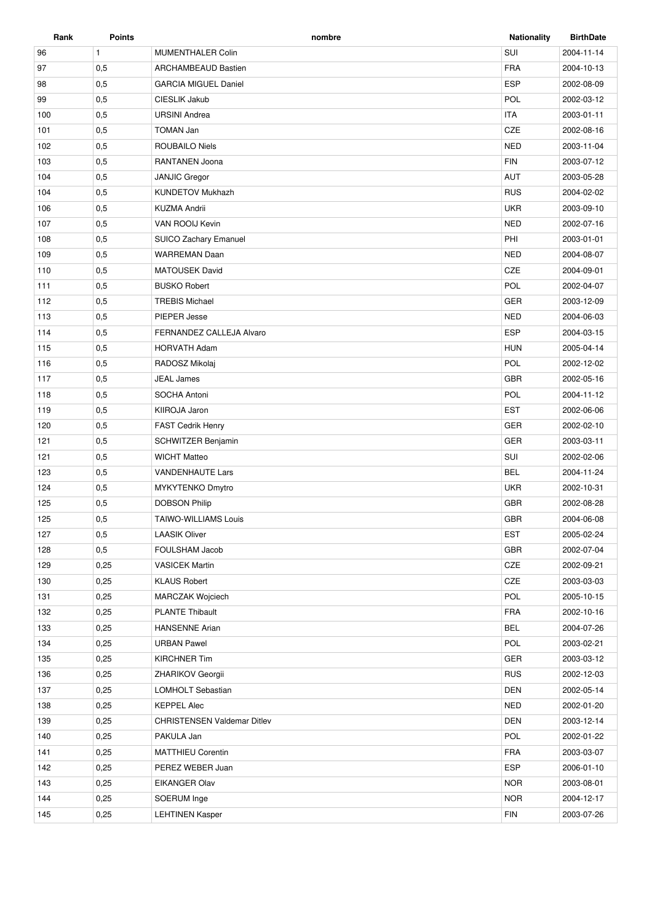| Rank | <b>Points</b> | nombre                             | <b>Nationality</b> | <b>BirthDate</b> |
|------|---------------|------------------------------------|--------------------|------------------|
| 96   | $\mathbf{1}$  | <b>MUMENTHALER Colin</b>           | SUI                | 2004-11-14       |
| 97   | 0,5           | ARCHAMBEAUD Bastien                | <b>FRA</b>         | 2004-10-13       |
| 98   | 0,5           | <b>GARCIA MIGUEL Daniel</b>        | <b>ESP</b>         | 2002-08-09       |
| 99   | 0,5           | CIESLIK Jakub                      | POL                | 2002-03-12       |
| 100  | 0,5           | <b>URSINI Andrea</b>               | <b>ITA</b>         | 2003-01-11       |
| 101  | 0,5           | <b>TOMAN Jan</b>                   | CZE                | 2002-08-16       |
| 102  | 0,5           | ROUBAILO Niels                     | <b>NED</b>         | 2003-11-04       |
| 103  | 0,5           | RANTANEN Joona                     | <b>FIN</b>         | 2003-07-12       |
| 104  | 0,5           | <b>JANJIC Gregor</b>               | <b>AUT</b>         | 2003-05-28       |
| 104  | 0,5           | <b>KUNDETOV Mukhazh</b>            | <b>RUS</b>         | 2004-02-02       |
| 106  | 0,5           | <b>KUZMA Andrii</b>                | <b>UKR</b>         | 2003-09-10       |
| 107  | 0,5           | VAN ROOIJ Kevin                    | <b>NED</b>         | 2002-07-16       |
| 108  | 0,5           | SUICO Zachary Emanuel              | PHI                | 2003-01-01       |
| 109  | 0,5           | <b>WARREMAN Daan</b>               | <b>NED</b>         | 2004-08-07       |
| 110  | 0,5           | <b>MATOUSEK David</b>              | CZE                | 2004-09-01       |
| 111  | 0,5           | <b>BUSKO Robert</b>                | POL                | 2002-04-07       |
| 112  | 0,5           | <b>TREBIS Michael</b>              | <b>GER</b>         | 2003-12-09       |
| 113  | 0,5           | PIEPER Jesse                       | <b>NED</b>         | 2004-06-03       |
| 114  | 0,5           | FERNANDEZ CALLEJA Alvaro           | <b>ESP</b>         | 2004-03-15       |
| 115  | 0,5           | <b>HORVATH Adam</b>                | <b>HUN</b>         | 2005-04-14       |
| 116  | 0,5           | RADOSZ Mikolaj                     | POL                | 2002-12-02       |
| 117  | 0,5           | <b>JEAL James</b>                  | <b>GBR</b>         | 2002-05-16       |
| 118  | 0,5           | SOCHA Antoni                       | POL                | 2004-11-12       |
| 119  | 0,5           | KIIROJA Jaron                      | <b>EST</b>         | 2002-06-06       |
| 120  | 0,5           | <b>FAST Cedrik Henry</b>           | <b>GER</b>         | 2002-02-10       |
| 121  | 0,5           | SCHWITZER Benjamin                 | <b>GER</b>         | 2003-03-11       |
| 121  | 0,5           | <b>WICHT Matteo</b>                | SUI                | 2002-02-06       |
| 123  | 0,5           | <b>VANDENHAUTE Lars</b>            | <b>BEL</b>         | 2004-11-24       |
| 124  | 0,5           | MYKYTENKO Dmytro                   | <b>UKR</b>         | 2002-10-31       |
| 125  | 0,5           | <b>DOBSON Philip</b>               | <b>GBR</b>         | 2002-08-28       |
| 125  | 0,5           | <b>TAIWO-WILLIAMS Louis</b>        | <b>GBR</b>         | 2004-06-08       |
| 127  | 0,5           | <b>LAASIK Oliver</b>               | <b>EST</b>         | 2005-02-24       |
| 128  | 0,5           | FOULSHAM Jacob                     | GBR                | 2002-07-04       |
| 129  | 0,25          | <b>VASICEK Martin</b>              | CZE                | 2002-09-21       |
| 130  | 0,25          | <b>KLAUS Robert</b>                | CZE                | 2003-03-03       |
| 131  | 0,25          | <b>MARCZAK Wojciech</b>            | POL                | 2005-10-15       |
| 132  | 0,25          | <b>PLANTE Thibault</b>             | FRA                | 2002-10-16       |
| 133  | 0,25          | <b>HANSENNE Arian</b>              | <b>BEL</b>         | 2004-07-26       |
| 134  | 0,25          | <b>URBAN Pawel</b>                 | POL                | 2003-02-21       |
| 135  | 0,25          | <b>KIRCHNER Tim</b>                | <b>GER</b>         | 2003-03-12       |
| 136  | 0,25          | <b>ZHARIKOV Georgii</b>            | <b>RUS</b>         | 2002-12-03       |
| 137  | 0,25          | LOMHOLT Sebastian                  | <b>DEN</b>         | 2002-05-14       |
| 138  | 0,25          | <b>KEPPEL Alec</b>                 | <b>NED</b>         | 2002-01-20       |
| 139  | 0,25          | <b>CHRISTENSEN Valdemar Ditlev</b> | <b>DEN</b>         | 2003-12-14       |
| 140  | 0,25          | PAKULA Jan                         | POL                | 2002-01-22       |
| 141  | 0,25          | <b>MATTHIEU Corentin</b>           | <b>FRA</b>         | 2003-03-07       |
| 142  | 0,25          | PEREZ WEBER Juan                   | <b>ESP</b>         | 2006-01-10       |
| 143  | 0,25          | EIKANGER Olav                      | <b>NOR</b>         | 2003-08-01       |
| 144  | 0,25          | SOERUM Inge                        | <b>NOR</b>         | 2004-12-17       |
|      |               |                                    |                    |                  |
| 145  | 0,25          | <b>LEHTINEN Kasper</b>             | <b>FIN</b>         | 2003-07-26       |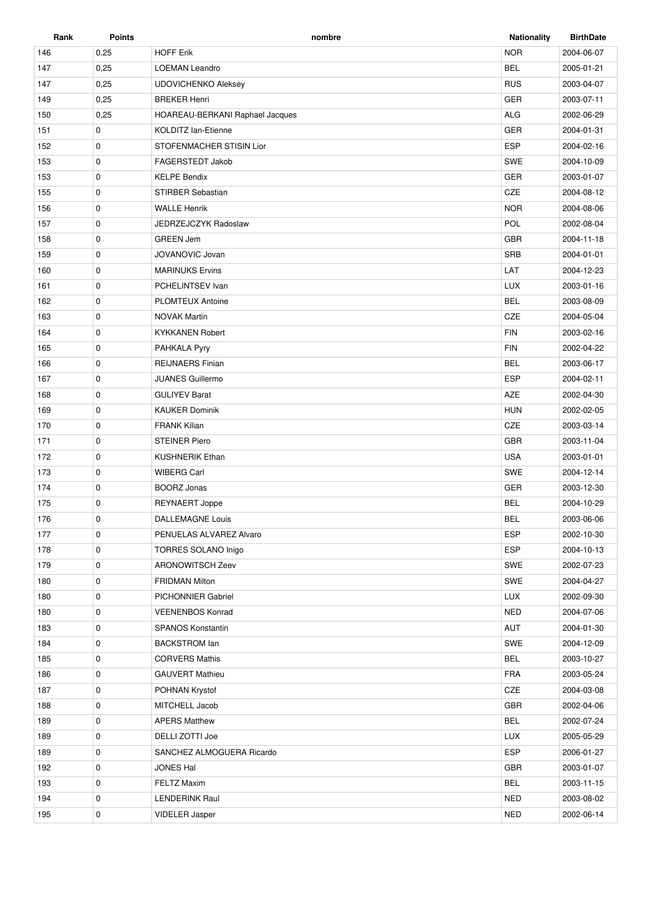| Rank | <b>Points</b> | nombre                          | <b>Nationality</b> | <b>BirthDate</b> |
|------|---------------|---------------------------------|--------------------|------------------|
| 146  | 0,25          | <b>HOFF Erik</b>                | <b>NOR</b>         | 2004-06-07       |
| 147  | 0,25          | <b>LOEMAN Leandro</b>           | <b>BEL</b>         | 2005-01-21       |
| 147  | 0,25          | <b>UDOVICHENKO Aleksey</b>      | <b>RUS</b>         | 2003-04-07       |
| 149  | 0,25          | <b>BREKER Henri</b>             | <b>GER</b>         | 2003-07-11       |
| 150  | 0,25          | HOAREAU-BERKANI Raphael Jacques | <b>ALG</b>         | 2002-06-29       |
| 151  | 0             | <b>KOLDITZ lan-Etienne</b>      | GER                | 2004-01-31       |
| 152  | 0             | STOFENMACHER STISIN Lior        | <b>ESP</b>         | 2004-02-16       |
| 153  | $\mathbf 0$   | FAGERSTEDT Jakob                | SWE                | 2004-10-09       |
| 153  | 0             | <b>KELPE Bendix</b>             | GER                | 2003-01-07       |
| 155  | 0             | STIRBER Sebastian               | CZE                | 2004-08-12       |
| 156  | 0             | <b>WALLE Henrik</b>             | <b>NOR</b>         | 2004-08-06       |
| 157  | $\mathbf 0$   | JEDRZEJCZYK Radoslaw            | POL                | 2002-08-04       |
| 158  | $\mathbf 0$   | <b>GREEN Jem</b>                | <b>GBR</b>         | 2004-11-18       |
| 159  | 0             | JOVANOVIC Jovan                 | <b>SRB</b>         | 2004-01-01       |
| 160  | 0             | <b>MARINUKS Ervins</b>          | LAT                | 2004-12-23       |
| 161  | 0             | PCHELINTSEV Ivan                | <b>LUX</b>         | 2003-01-16       |
| 162  | 0             | <b>PLOMTEUX Antoine</b>         | <b>BEL</b>         | 2003-08-09       |
| 163  | 0             | <b>NOVAK Martin</b>             | <b>CZE</b>         | 2004-05-04       |
| 164  | 0             | <b>KYKKANEN Robert</b>          | <b>FIN</b>         | 2003-02-16       |
| 165  | 0             | PAHKALA Pyry                    | <b>FIN</b>         | 2002-04-22       |
| 166  | 0             | <b>REIJNAERS Finian</b>         | <b>BEL</b>         | 2003-06-17       |
| 167  | 0             | <b>JUANES Guillermo</b>         | <b>ESP</b>         | 2004-02-11       |
| 168  | $\mathbf 0$   | <b>GULIYEV Barat</b>            | AZE                | 2002-04-30       |
| 169  | $\mathbf 0$   | <b>KAUKER Dominik</b>           | <b>HUN</b>         | 2002-02-05       |
| 170  | 0             | <b>FRANK Kilian</b>             | CZE                | 2003-03-14       |
| 171  | $\mathbf 0$   | <b>STEINER Piero</b>            | <b>GBR</b>         | 2003-11-04       |
| 172  | 0             | <b>KUSHNERIK Ethan</b>          | <b>USA</b>         | 2003-01-01       |
| 173  | 0             | <b>WIBERG Carl</b>              | SWE                | 2004-12-14       |
| 174  | $\mathbf 0$   | <b>BOORZ Jonas</b>              | <b>GER</b>         | 2003-12-30       |
| 175  | 0             | REYNAERT Joppe                  | <b>BEL</b>         | 2004-10-29       |
| 176  | $\mathbf 0$   | <b>DALLEMAGNE Louis</b>         | <b>BEL</b>         | 2003-06-06       |
| 177  | 0             | PENUELAS ALVAREZ Alvaro         | <b>ESP</b>         | 2002-10-30       |
| 178  | 0             | <b>TORRES SOLANO Inigo</b>      | <b>ESP</b>         | 2004-10-13       |
| 179  | 0             | <b>ARONOWITSCH Zeev</b>         | SWE                | 2002-07-23       |
| 180  | 0             | <b>FRIDMAN Milton</b>           | SWE                | 2004-04-27       |
| 180  | 0             | PICHONNIER Gabriel              | <b>LUX</b>         | 2002-09-30       |
| 180  | 0             | <b>VEENENBOS Konrad</b>         | <b>NED</b>         | 2004-07-06       |
| 183  | 0             | <b>SPANOS Konstantin</b>        | AUT                | 2004-01-30       |
| 184  | 0             | <b>BACKSTROM lan</b>            | SWE                | 2004-12-09       |
| 185  | 0             | <b>CORVERS Mathis</b>           | <b>BEL</b>         | 2003-10-27       |
| 186  | 0             | <b>GAUVERT Mathieu</b>          | <b>FRA</b>         | 2003-05-24       |
| 187  | 0             | POHNAN Krystof                  | CZE                | 2004-03-08       |
| 188  | 0             | MITCHELL Jacob                  | GBR                | 2002-04-06       |
| 189  | 0             | <b>APERS Matthew</b>            | <b>BEL</b>         | 2002-07-24       |
| 189  | 0             | DELLI ZOTTI Joe                 | <b>LUX</b>         | 2005-05-29       |
| 189  | 0             | SANCHEZ ALMOGUERA Ricardo       | <b>ESP</b>         | 2006-01-27       |
| 192  | 0             | <b>JONES Hal</b>                | <b>GBR</b>         | 2003-01-07       |
| 193  | 0             | <b>FELTZ Maxim</b>              | <b>BEL</b>         | 2003-11-15       |
| 194  | 0             | <b>LENDERINK Raul</b>           | <b>NED</b>         | 2003-08-02       |
| 195  | 0             | VIDELER Jasper                  | <b>NED</b>         | 2002-06-14       |
|      |               |                                 |                    |                  |